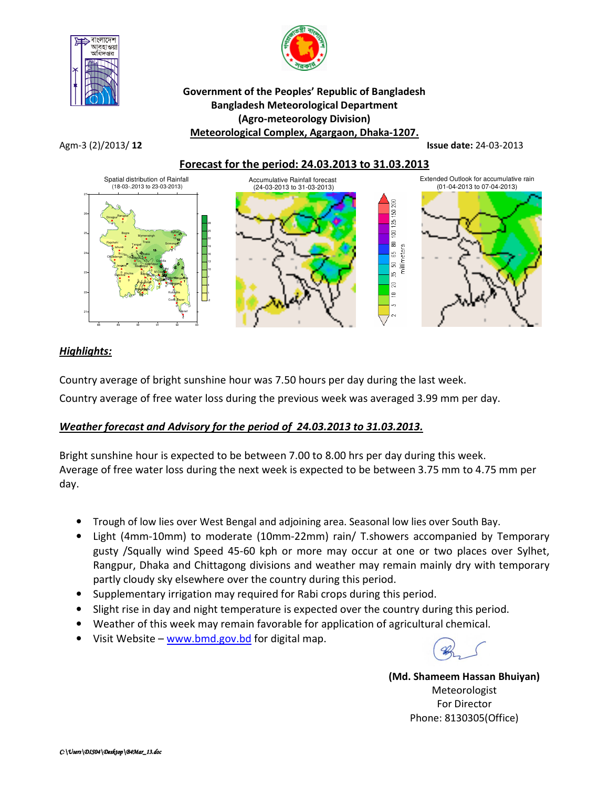



#### Government of the Peoples' Republic of Bangladesh Bangladesh Meteorological Department (Agro-meteorology Division) Meteorological Complex, Agargaon, Dhaka-1207.

Agm-3 (2)/2013/ 12 **Issue date:** 24-03-2013

Forecast for the period: 24.03.2013 to 31.03.2013



# Highlights:

Country average of bright sunshine hour was 7.50 hours per day during the last week.

Country average of free water loss during the previous week was averaged 3.99 mm per day.

# Weather forecast and Advisory for the period of 24.03.2013 to 31.03.2013.

Bright sunshine hour is expected to be between 7.00 to 8.00 hrs per day during this week. Average of free water loss during the next week is expected to be between 3.75 mm to 4.75 mm per day.

- Trough of low lies over West Bengal and adjoining area. Seasonal low lies over South Bay.
- Light (4mm-10mm) to moderate (10mm-22mm) rain/ T.showers accompanied by Temporary gusty /Squally wind Speed 45-60 kph or more may occur at one or two places over Sylhet, Rangpur, Dhaka and Chittagong divisions and weather may remain mainly dry with temporary partly cloudy sky elsewhere over the country during this period.
- Supplementary irrigation may required for Rabi crops during this period.
- Slight rise in day and night temperature is expected over the country during this period.
- Weather of this week may remain favorable for application of agricultural chemical.
- Visit Website www.bmd.gov.bd for digital map.



(Md. Shameem Hassan Bhuiyan) Meteorologist For Director Phone: 8130305(Office)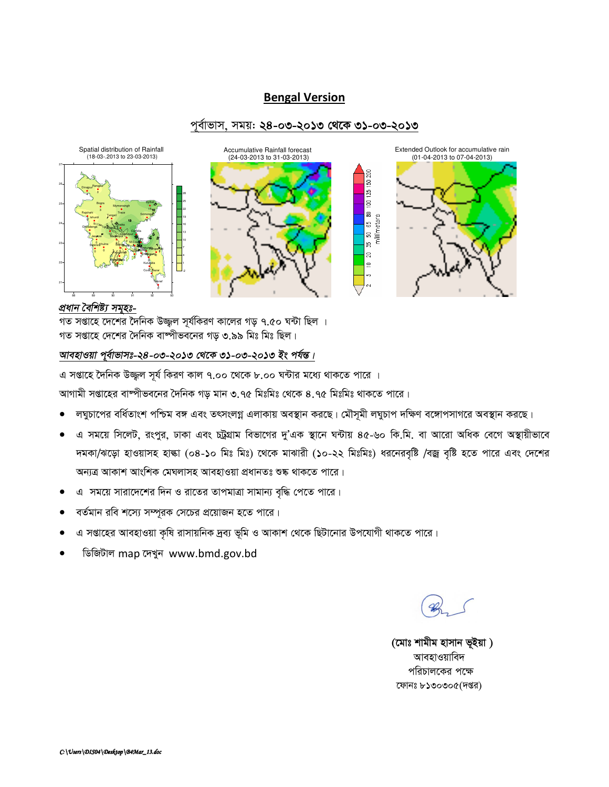# Bengal Version





#### প্ৰধান বৈশিষ্ট্য সমূহঃ-

গত সপ্তাহে দেশের দৈনিক উজ্জ্বল সূর্যকিরণ কালের গড় ৭.৫০ ঘন্টা ছিল । গত সপ্তাহে দেশের দৈনিক বাষ্পীভবনের গড় ৩.৯৯ মিঃ মিঃ ছিল।

#### আবহাওয়া পূৰ্বাভাসঃ-২৪-০৩-২০১৩ থেকে ৩১-০৩-২০১৩ ইং পৰ্যন্ত।

এ সপ্তাহে দৈনিক উজ্জুল সূৰ্য কিরণ কাল ৭.০০ থেকে ৮.০০ ঘন্টার মধ্যে থাকতে পারে ।

আগামী সপ্তাহের বাষ্পীভবনের দৈনিক গড় মান ৩.৭৫ মিঃমিঃ থেকে ৪.৭৫ মিঃমিঃ থাকতে পারে।

- লঘুচাপের বর্ধিতাংশ পশ্চিম বঙ্গ এবং তৎসংলগ্ন এলাকায় অবস্থান করছে। মৌসূমী লঘুচাপ দক্ষিণ বঙ্গোপসাগরে অবস্থান করছে।
- এ সময়ে সিলেট, রংপুর, ঢাকা এবং চট্রগ্রাম বিভাগের দু'এক স্থানে ঘন্টায় ৪৫-৬০ কি.মি. বা আরো অধিক বেগে অস্থায়ীভাবে দমকা/ঝড়ো হাওয়াসহ হাল্কা (08-১০ মিঃ মিঃ) থেকে মাঝারী (১০-২২ মিঃমিঃ) ধরনেরবৃষ্টি /বজ্র বৃষ্টি হতে পারে এবং দেশের অন্যত্র আকাশ আংশিক মেঘলাসহ আবহাওয়া প্রধানতঃ শুষ্ক থাকতে পারে।
- এ সময়ে সারাদেশের দিন ও রাতের তাপমাত্রা সামান্য বৃদ্ধি পেতে পারে।
- বর্তমান রবি শস্যে সম্পূরক সেচের প্রয়োজন হতে পারে।
- এ সপ্তাহের আবহাওয়া কৃষি রাসায়নিক দ্রব্য ভূমি ও আকাশ থেকে ছিটানোর উপযোগী থাকতে পারে।
- ডিজিটাল map দেখুন www.bmd.gov.bd

(মোঃ শামীম হাসান ভূইয়া ) আবহাওয়াবিদ পরিচালকের পক্ষে ফোনঃ ৮১৩০৩০ $\alpha$ (দপ্তর)